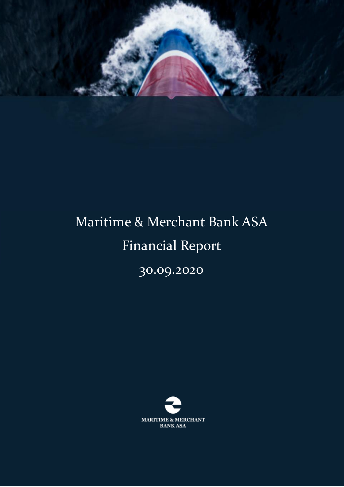

# Maritime & Merchant Bank ASA Financial Report

30.09.2020

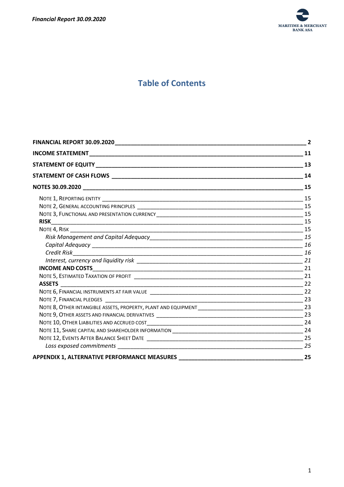

# **Table of Contents**

|                                                                      | $\overline{2}$              |  |
|----------------------------------------------------------------------|-----------------------------|--|
|                                                                      | $\overline{\phantom{a}}$ 11 |  |
|                                                                      |                             |  |
|                                                                      | 14                          |  |
|                                                                      |                             |  |
|                                                                      |                             |  |
|                                                                      |                             |  |
|                                                                      |                             |  |
|                                                                      |                             |  |
|                                                                      |                             |  |
|                                                                      |                             |  |
|                                                                      |                             |  |
|                                                                      |                             |  |
|                                                                      |                             |  |
|                                                                      |                             |  |
|                                                                      |                             |  |
| <b>ASSETS</b>                                                        |                             |  |
|                                                                      |                             |  |
|                                                                      |                             |  |
|                                                                      |                             |  |
|                                                                      |                             |  |
|                                                                      | 24                          |  |
|                                                                      |                             |  |
|                                                                      |                             |  |
|                                                                      | 25                          |  |
| APPENDIX 1, ALTERNATIVE PERFORMANCE MEASURES _______________________ | 25                          |  |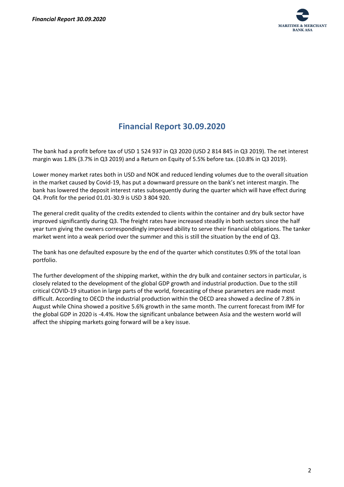

# **Financial Report 30.09.2020**

<span id="page-2-0"></span>The bank had a profit before tax of USD 1 524 937 in Q3 2020 (USD 2 814 845 in Q3 2019). The net interest margin was 1.8% (3.7% in Q3 2019) and a Return on Equity of 5.5% before tax. (10.8% in Q3 2019).

Lower money market rates both in USD and NOK and reduced lending volumes due to the overall situation in the market caused by Covid-19, has put a downward pressure on the bank's net interest margin. The bank has lowered the deposit interest rates subsequently during the quarter which will have effect during Q4. Profit for the period 01.01-30.9 is USD 3 804 920.

The general credit quality of the credits extended to clients within the container and dry bulk sector have improved significantly during Q3. The freight rates have increased steadily in both sectors since the half year turn giving the owners correspondingly improved ability to serve their financial obligations. The tanker market went into a weak period over the summer and this is still the situation by the end of Q3.

The bank has one defaulted exposure by the end of the quarter which constitutes 0.9% of the total loan portfolio.

The further development of the shipping market, within the dry bulk and container sectors in particular, is closely related to the development of the global GDP growth and industrial production. Due to the still critical COVID-19 situation in large parts of the world, forecasting of these parameters are made most difficult. According to OECD the industrial production within the OECD area showed a decline of 7.8% in August while China showed a positive 5.6% growth in the same month. The current forecast from IMF for the global GDP in 2020 is -4.4%. How the significant unbalance between Asia and the western world will affect the shipping markets going forward will be a key issue.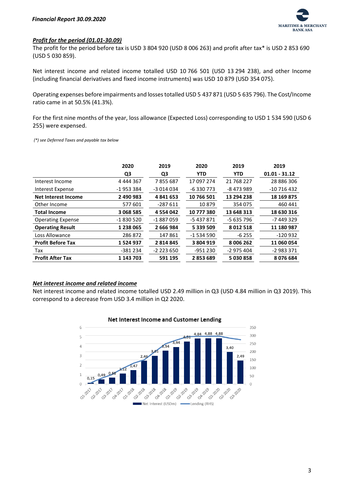

#### *Profit for the period (01.01-30.09)*

The profit for the period before tax is USD 3 804 920 (USD 8 006 263) and profit after tax\* is USD 2 853 690 (USD 5 030 859).

Net interest income and related income totalled USD 10 766 501 (USD 13 294 238), and other Income (including financial derivatives and fixed income instruments) was USD 10 879 (USD 354 075).

Operating expenses before impairments and losses totalled USD 5 437 871 (USD 5 635 796). The Cost/Income ratio came in at 50.5% (41.3%).

For the first nine months of the year, loss allowance (Expected Loss) corresponding to USD 1 534 590 (USD 6 255) were expensed.

*(\*) see Deferred Taxes and payable tax below*

|                            | 2020          | 2019          | 2020       | 2019        | 2019            |
|----------------------------|---------------|---------------|------------|-------------|-----------------|
|                            | Q3            | Q3            | <b>YTD</b> | <b>YTD</b>  | $01.01 - 31.12$ |
| Interest Income            | 4 4 4 4 3 6 7 | 7855687       | 17 097 274 | 21 768 227  | 28 886 306      |
| Interest Expense           | -1953384      | -3 014 034    | -6330773   | -8 473 989  | $-10716432$     |
| <b>Net Interest Income</b> | 2 490 983     | 4841653       | 10 766 501 | 13 294 238  | 18 169 875      |
| Other Income               | 577 601       | $-287611$     | 10879      | 354 075     | 460 441         |
| <b>Total Income</b>        | 3 068 585     | 4 5 5 4 0 4 2 | 10 777 380 | 13 648 313  | 18 630 316      |
| <b>Operating Expense</b>   | $-1830520$    | $-1887059$    | -5437871   | -5 635 796  | -7 449 329      |
| <b>Operating Result</b>    | 1 238 065     | 2 666 984     | 5 339 509  | 8 0 12 5 18 | 11 180 987      |
| Loss Allowance             | 286872        | 147861        | $-1534590$ | $-6255$     | $-120932$       |
| <b>Profit Before Tax</b>   | 1524937       | 2814845       | 3 804 919  | 8 006 262   | 11 060 054      |
| Tax                        | $-381234$     | $-2$ 223 650  | -951 230   | -2 975 404  | $-2983371$      |
| <b>Profit After Tax</b>    | 1 143 703     | 591 195       | 2853689    | 5 030 858   | 8076684         |

#### *Net interest income and related income*

Net interest income and related income totalled USD 2.49 million in Q3 (USD 4.84 million in Q3 2019). This correspond to a decrease from USD 3.4 million in Q2 2020.



#### Net Interest Income and Customer Lending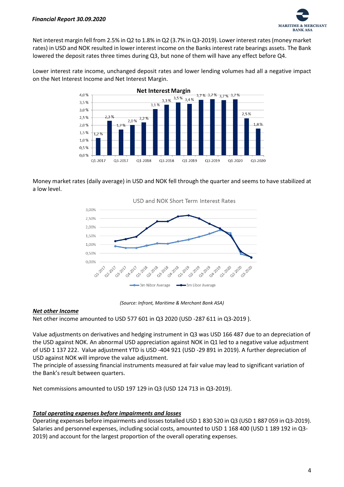

Net interest margin fell from 2.5% in Q2 to 1.8% in Q2 (3.7% in Q3-2019). Lower interest rates (money market rates) in USD and NOK resulted in lower interest income on the Banks interest rate bearings assets. The Bank lowered the deposit rates three times during Q3, but none of them will have any effect before Q4.

Lower interest rate income, unchanged deposit rates and lower lending volumes had all a negative impact on the Net Interest Income and Net Interest Margin.



Money market rates (daily average) in USD and NOK fell through the quarter and seems to have stabilized at a low level.



*(Source: Infront, Maritime & Merchant Bank ASA)*

#### *Net other Income*

Net other income amounted to USD 577 601 in Q3 2020 (USD -287 611 in Q3-2019 ).

Value adjustments on derivatives and hedging instrument in Q3 was USD 166 487 due to an depreciation of the USD against NOK. An abnormal USD appreciation against NOK in Q1 led to a negative value adjustment of USD 1 137 222. Value adjustment YTD is USD -404 921 (USD -29 891 in 2019). A further depreciation of USD against NOK will improve the value adjustment.

The principle of assessing financial instruments measured at fair value may lead to significant variation of the Bank's result between quarters.

Net commissions amounted to USD 197 129 in Q3 (USD 124 713 in Q3-2019).

#### *Total operating expenses before impairments and losses*

Operating expenses before impairments and losses totalled USD 1 830 520 in Q3 (USD 1 887 059 in Q3-2019). Salaries and personnel expenses, including social costs, amounted to USD 1 168 400 (USD 1 189 192 in Q3- 2019) and account for the largest proportion of the overall operating expenses.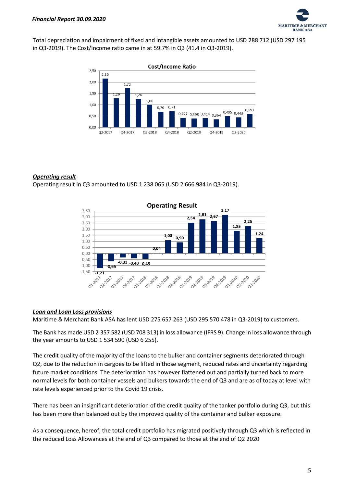

Total depreciation and impairment of fixed and intangible assets amounted to USD 288 712 (USD 297 195 in Q3-2019). The Cost/Income ratio came in at 59.7% in Q3 (41.4 in Q3-2019).



#### *Operating result*

Operating result in Q3 amounted to USD 1 238 065 (USD 2 666 984 in Q3-2019).



#### *Loan and Loan Loss provisions*

Maritime & Merchant Bank ASA has lent USD 275 657 263 (USD 295 570 478 in Q3-2019) to customers.

The Bank has made USD 2 357 582 (USD 708 313) in loss allowance (IFRS 9). Change in loss allowance through the year amounts to USD 1 534 590 (USD 6 255).

The credit quality of the majority of the loans to the bulker and container segments deteriorated through Q2, due to the reduction in cargoes to be lifted in those segment, reduced rates and uncertainty regarding future market conditions. The deterioration has however flattened out and partially turned back to more normal levels for both container vessels and bulkers towards the end of Q3 and are as of today at level with rate levels experienced prior to the Covid 19 crisis.

There has been an insignificant deterioration of the credit quality of the tanker portfolio during Q3, but this has been more than balanced out by the improved quality of the container and bulker exposure.

As a consequence, hereof, the total credit portfolio has migrated positively through Q3 which is reflected in the reduced Loss Allowances at the end of Q3 compared to those at the end of Q2 2020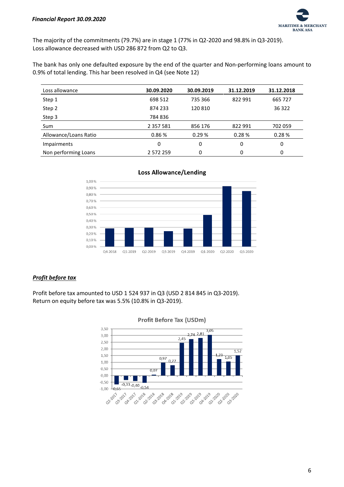

The majority of the commitments (79.7%) are in stage 1 (77% in Q2-2020 and 98.8% in Q3-2019). Loss allowance decreased with USD 286 872 from Q2 to Q3.

The bank has only one defaulted exposure by the end of the quarter and Non-performing loans amount to 0.9% of total lending. This har been resolved in Q4 (see Note 12)

| Loss allowance        | 30.09.2020    | 30.09.2019 | 31.12.2019 | 31.12.2018 |
|-----------------------|---------------|------------|------------|------------|
| Step 1                | 698 512       | 735 366    | 822 991    | 665 727    |
| Step 2                | 874 233       | 120 810    |            | 36 322     |
| Step 3                | 784836        |            |            |            |
| Sum                   | 2 3 5 7 5 8 1 | 856 176    | 822 991    | 702 059    |
| Allowance/Loans Ratio | 0.86%         | 0.29%      | 0.28%      | 0.28%      |
| <b>Impairments</b>    | 0             | 0          | 0          | 0          |
| Non performing Loans  | 2 572 259     | 0          | 0          | 0          |





## *Profit before tax*

Profit before tax amounted to USD 1 524 937 in Q3 (USD 2 814 845 in Q3-2019). Return on equity before tax was 5.5% (10.8% in Q3-2019).



#### **Profit Before Tax (USDm)**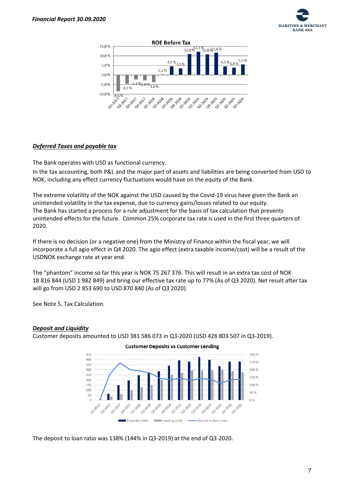



#### *Deferred Taxes and payable tax*

The Bank operates with USD as functional currency.

In the tax accounting, both P&L and the major part of assets and liabilities are being converted from USD to NOK, including any effect currency fluctuations would have on the equity of the Bank.

The extreme volatility of the NOK against the USD caused by the Covid-19 virus have given the Bank an unintended volatility in the tax expense, due to currency gains/losses related to our equity. The Bank has started a process for a rule adjustment for the basis of tax calculation that prevents unintended effects for the future. Common 25% corporate tax rate is used in the first three quarters of 2020.

If there is no decision (or a negative one) from the Ministry of Finance within the fiscal year, we will incorporate a full agio effect in Q4 2020. The agio effect (extra taxable income/cost) will be a result of the USDNOK exchange rate at year end.

The "phantom" income so far this year is NOK 75 267 376. This will result in an extra tax cost of NOK 18 816 844 (USD 1 982 849) and bring our effective tax rate up to 77% (As of Q3 2020). Net result after tax will go from USD 2 853 690 to USD 870 840 (As of Q3 2020).

See Note 5, Tax Calculation.

#### *Deposit and Liquidity*

Customer deposits amounted to USD 381 586 073 in Q3-2020 (USD 426 803 507 in Q3-2019).



**Customer Deposits vs Customer Lending** 

The deposit to loan ratio was 138% (144% in Q3-2019) at the end of Q3-2020.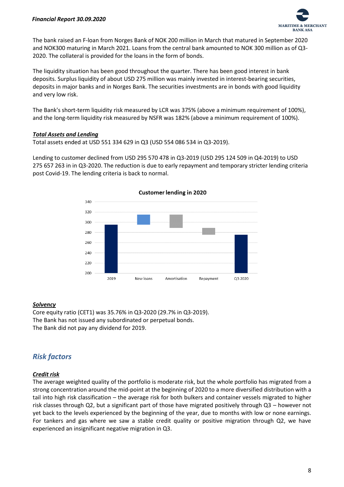

The bank raised an F-loan from Norges Bank of NOK 200 million in March that matured in September 2020 and NOK300 maturing in March 2021. Loans from the central bank amounted to NOK 300 million as of Q3- 2020. The collateral is provided for the loans in the form of bonds.

The liquidity situation has been good throughout the quarter. There has been good interest in bank deposits. Surplus liquidity of about USD 275 million was mainly invested in interest-bearing securities, deposits in major banks and in Norges Bank. The securities investments are in bonds with good liquidity and very low risk.

The Bank's short-term liquidity risk measured by LCR was 375% (above a minimum requirement of 100%), and the long-term liquidity risk measured by NSFR was 182% (above a minimum requirement of 100%).

#### *Total Assets and Lending*

Total assets ended at USD 551 334 629 in Q3 (USD 554 086 534 in Q3-2019).

Lending to customer declined from USD 295 570 478 in Q3-2019 (USD 295 124 509 in Q4-2019) to USD 275 657 263 in in Q3-2020. The reduction is due to early repayment and temporary stricter lending criteria post Covid-19. The lending criteria is back to normal.



#### *Solvency*

Core equity ratio (CET1) was 35.76% in Q3-2020 (29.7% in Q3-2019). The Bank has not issued any subordinated or perpetual bonds. The Bank did not pay any dividend for 2019.

# *Risk factors*

#### *Credit risk*

The average weighted quality of the portfolio is moderate risk, but the whole portfolio has migrated from a strong concentration around the mid-point at the beginning of 2020 to a more diversified distribution with a tail into high risk classification – the average risk for both bulkers and container vessels migrated to higher risk classes through Q2, but a significant part of those have migrated positively through Q3 – however not yet back to the levels experienced by the beginning of the year, due to months with low or none earnings. For tankers and gas where we saw a stable credit quality or positive migration through Q2, we have experienced an insignificant negative migration in Q3.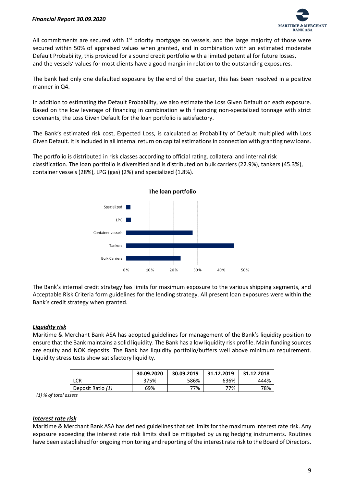

All commitments are secured with  $1<sup>st</sup>$  priority mortgage on vessels, and the large majority of those were secured within 50% of appraised values when granted, and in combination with an estimated moderate Default Probability, this provided for a sound credit portfolio with a limited potential for future losses, and the vessels' values for most clients have a good margin in relation to the outstanding exposures.

The bank had only one defaulted exposure by the end of the quarter, this has been resolved in a positive manner in Q4.

In addition to estimating the Default Probability, we also estimate the Loss Given Default on each exposure. Based on the low leverage of financing in combination with financing non-specialized tonnage with strict covenants, the Loss Given Default for the loan portfolio is satisfactory.

The Bank's estimated risk cost, Expected Loss, is calculated as Probability of Default multiplied with Loss Given Default. It is included in all internal return on capital estimations in connection with granting new loans.

The portfolio is distributed in risk classes according to official rating, collateral and internal risk classification. The loan portfolio is diversified and is distributed on bulk carriers (22.9%), tankers (45.3%), container vessels (28%), LPG (gas) (2%) and specialized (1.8%).



The Bank's internal credit strategy has limits for maximum exposure to the various shipping segments, and Acceptable Risk Criteria form guidelines for the lending strategy. All present loan exposures were within the Bank's credit strategy when granted.

#### *Liquidity risk*

Maritime & Merchant Bank ASA has adopted guidelines for management of the Bank's liquidity position to ensure that the Bank maintains a solid liquidity. The Bank has a low liquidity risk profile. Main funding sources are equity and NOK deposits. The Bank has liquidity portfolio/buffers well above minimum requirement. Liquidity stress tests show satisfactory liquidity.

|                   | 30.09.2020 | 30.09.2019 | 31.12.2019 | 31.12.2018 |
|-------------------|------------|------------|------------|------------|
| LCR               | 375%       | 586%       | 636%       | 444%       |
| Deposit Ratio (1) | 69%        | 77%        | 77%        | 78%        |

 *(1) % of total assets*

#### *Interest rate risk*

Maritime & Merchant Bank ASA has defined guidelines that set limits for the maximum interest rate risk. Any exposure exceeding the interest rate risk limits shall be mitigated by using hedging instruments. Routines have been established for ongoing monitoring and reporting of the interest rate risk to the Board of Directors.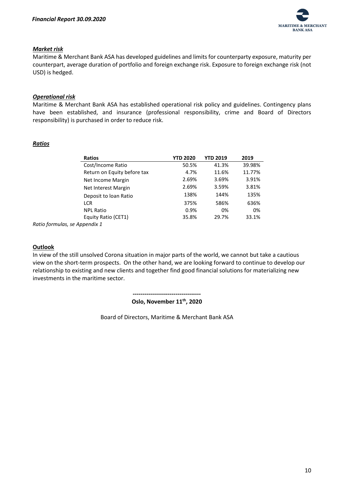

#### *Market risk*

Maritime & Merchant Bank ASA has developed guidelines and limits for counterparty exposure, maturity per counterpart, average duration of portfolio and foreign exchange risk. Exposure to foreign exchange risk (not USD) is hedged.

#### *Operational risk*

Maritime & Merchant Bank ASA has established operational risk policy and guidelines. Contingency plans have been established, and insurance (professional responsibility, crime and Board of Directors responsibility) is purchased in order to reduce risk.

#### *Ratios*

| <b>Ratios</b>               | <b>YTD 2020</b> | <b>YTD 2019</b> | 2019   |
|-----------------------------|-----------------|-----------------|--------|
| Cost/Income Ratio           | 50.5%           | 41.3%           | 39.98% |
| Return on Equity before tax | 4.7%            | 11.6%           | 11.77% |
| Net Income Margin           | 2.69%           | 3.69%           | 3.91%  |
| Net Interest Margin         | 2.69%           | 3.59%           | 3.81%  |
| Deposit to loan Ratio       | 138%            | 144%            | 135%   |
| <b>LCR</b>                  | 375%            | 586%            | 636%   |
| <b>NPL Ratio</b>            | 0.9%            | 0%              | 0%     |
| Equity Ratio (CET1)         | 35.8%           | 29.7%           | 33.1%  |
| الأمنان والمستحدث ومستحدث   |                 |                 |        |

*Ratio formulas, se Appendix 1*

#### **Outlook**

In view of the still unsolved Corona situation in major parts of the world, we cannot but take a cautious view on the short-term prospects. On the other hand, we are looking forward to continue to develop our relationship to existing and new clients and together find good financial solutions for materializing new investments in the maritime sector.

**-----------------------------------**

**Oslo, November 11 th, 2020**

Board of Directors, Maritime & Merchant Bank ASA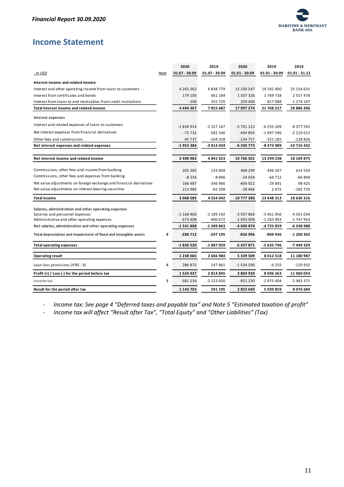

# <span id="page-11-0"></span>**Income Statement**

|                                                                     |      | 2020            | 2019          | 2020            | 2019          | 2019            |
|---------------------------------------------------------------------|------|-----------------|---------------|-----------------|---------------|-----------------|
| <u>- In USD</u>                                                     | Note | $01.07 - 30.09$ | 01.07 - 30.09 | $01.01 - 30.09$ | 01.01 - 30.09 | $01.01 - 31.12$ |
| Interest income and related income                                  |      |                 |               |                 |               |                 |
| Interest and other operating income from loans to customers         |      | 4 2 6 5 3 6 2   | 6838779       | 15 330 547      | 19 181 400    | 25 154 631      |
| Interest from certificates and bonds                                |      | 179 105         | 661 184       | 1507326         | 1769738       | 2 5 5 7 4 7 8   |
| Interest from loans to and receivables from credit institutions     |      | $-100$          | 355725        | 259 400         | 817088        | 1 174 197       |
| Total interest income and related income                            |      | 4 444 367       | 7855687       | 17 097 274      | 21 768 227    | 28 886 306      |
| Interest expenses                                                   |      |                 |               |                 |               |                 |
| Interest and related expenses of loans to customers                 |      | $-1834914$      | $-2327167$    | $-5701123$      | $-6255209$    | $-8377592$      |
| Net interest expenses from financial derivatives                    |      | $-72732$        | $-582540$     | $-494893$       | $-1897596$    | $-2210013$      |
| Other fees and commissions                                          |      | $-45737$        | $-104328$     | -134 757        | -321 185      | $-128826$       |
| Net interest expenses and related expenses                          |      | -1953384        | -3 014 034    | -6330773        | -8 473 989    | -10 716 432     |
|                                                                     |      |                 |               |                 |               |                 |
| Net interest income and related income                              |      | 2 490 983       | 4841653       | 10 766 501      | 13 294 238    | 18 169 875      |
| Commissions, other fees and income from banking                     |      | 205 385         | 133 609       | 468 299         | 446 207       | 614 559         |
| Commissions, other fees and expenses from banking                   |      | $-8256$         | $-8896$       | $-24034$        | $-64712$      | $-66808$        |
| Net value adjustments on foreign exchange and financial derivatives |      | 166 487         | -346 966      | $-404921$       | $-29891$      | 98 4 25         |
| Net value adjustments on interest-bearing securities                |      | 213 985         | $-65358$      | $-28466$        | 2472          | $-185735$       |
| <b>Total income</b>                                                 |      | 3 068 585       | 4 5 5 4 0 4 2 | 10 777 380      | 13 648 313    | 18 630 316      |
| Salaries, administration and other operating expenses               |      |                 |               |                 |               |                 |
| Salaries and personnel expenses                                     |      | $-1168400$      | $-1189192$    | -3 507 866      | $-3461956$    | -4 501 034      |
| Administrative and other operating expenses                         |      | -373 408        | -400 672      | -1 093 008      | -1 263 903    | -1 747 954      |
| Net salaries, administration and other operating expenses           |      | $-1541808$      | -1 589 863    | -4 600 874      | -4 725 859    | -6 248 988      |
| Total depreciation and impairment of fixed and intangible assets    | 8    | $-288712$       | -297 195      | $-836996$       | -909 936      | -1 200 342      |
| <b>Total operating expenses</b>                                     |      | -1830520        | -1887059      | -5 437 871      | -5 635 796    | -7 449 329      |
| <b>Operating result</b>                                             |      | 1 238 065       | 2 666 984     | 5 339 509       | 8 012 518     | 11 180 987      |
| Loan loss provisions (IFRS - 9)                                     | 4    | 286872          | 147861        | -1 534 590      | $-6255$       | -120 932        |
| Profit (+) / Loss (-) for the period before tax                     |      | 1524937         | 2814845       | 3 804 920       | 8 006 263     | 11 060 054      |
| Income tax                                                          | 5    | $-381234$       | -2 223 650    | -951 230        | -2 975 404    | $-2983371$      |
| Result for the period after tax                                     |      | 1 143 703       | 591 195       | 2853690         | 5 030 859     | 8076684         |

- *Income tax: See page 4 "Deferred taxes and payable tax" and Note 5 "Estimated taxation of profit"*

- *Income tax will affect "Result after Tax", "Total Equity" and "Other Liabilities" (Tax)*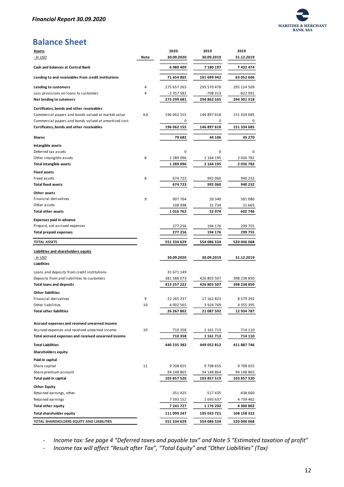

# **Balance Sheet**

| <b>Assets</b>                                                                                                           |      | 2020        | 2019        | 2019          |
|-------------------------------------------------------------------------------------------------------------------------|------|-------------|-------------|---------------|
| <u>- In USD</u>                                                                                                         | Note | 30.09.2020  | 30.09.2019  | 31.12.2019    |
| Cash and balances at Central Bank                                                                                       |      | 6980409     | 7 180 197   | 7432474       |
| Lending to and receivables from credit institutions                                                                     |      | 71 654 865  | 101 699 942 | 63 052 606    |
| Lending to customers                                                                                                    | 4    | 275 657 263 | 295 570 478 | 295 124 509   |
| Loss provisions on loans to customers                                                                                   | 4    | -2 357 582  | -708 313    | -822 991      |
| Net lending to cutomers                                                                                                 |      | 273 299 681 | 294 862 165 | 294 301 518   |
| Certificates, bonds and other receivables                                                                               |      |             |             |               |
| Commercial papers and bonds valued at market value                                                                      | 4,6  | 196 062 155 | 146 897 618 | 151 334 685   |
| Commercial papers and bonds valued at amortised cost                                                                    |      | 0           | 0           |               |
| Certificates, bonds and other receivables                                                                               |      | 196 062 155 | 146 897 618 | 151 334 685   |
| Shares                                                                                                                  |      | 79 682      | 44 106      | 45 270        |
| Intangible assets                                                                                                       |      |             |             |               |
| Deferred tax assets                                                                                                     |      | 0           | 0           | 0             |
| Other intangible assets                                                                                                 | 8    | 1 289 096   | 2 164 195   | 2 036 782     |
| <b>Total intangible assets</b>                                                                                          |      | 1 289 096   | 2 164 195   | 2 036 782     |
| <b>Fixed assets</b>                                                                                                     |      |             |             |               |
| Fixed assets                                                                                                            | 8    | 674 723     | 992 060     | 940 232       |
| <b>Total fixed assets</b>                                                                                               |      | 674 723     | 992 060     | 940 232       |
| Other assets                                                                                                            |      |             |             |               |
| Financial derivatives                                                                                                   | 9    | 907 764     | 20 340      | 581080        |
| Other assets                                                                                                            |      | 108 998     | 31734       | 21 6 65       |
| <b>Total other assets</b>                                                                                               |      | 1016762     | 52 074      | 602 746       |
| <b>Expenses paid in advance</b>                                                                                         |      |             |             |               |
| Prepaid, not accrued expenses                                                                                           |      | 277 256     | 194 176     | 299 755       |
| <b>Total prepaid expenses</b>                                                                                           |      | 277 256     | 194 176     | 299 755       |
| <b>TOTAL ASSETS</b>                                                                                                     |      | 551 334 629 | 554 086 534 | 520 046 068   |
| Liabilities and shareholders equity                                                                                     |      |             |             |               |
| - In USD<br>Liabilities                                                                                                 |      | 30.09.2020  | 30.09.2019  | 31.12.2019    |
| Loans and deposits from credit institutions                                                                             |      | 31 671 149  |             |               |
| Deposits from and liabilities to customers                                                                              |      | 381 586 073 | 426 803 507 | 398 238 850   |
| <b>Total loans and deposits</b>                                                                                         |      | 413 257 222 | 426 803 507 | 398 238 850   |
| <b>Other liabilities</b>                                                                                                |      |             |             |               |
| Financial derivatives                                                                                                   | 9    | 22 265 237  | 17 162 823  | 8 579 392     |
| Other liabilities                                                                                                       | 10   | 4 002 565   | 3924769     | 4 3 5 5 3 9 5 |
| <b>Total other liabilities</b>                                                                                          |      | 26 267 802  | 21 087 592  | 12 934 787    |
|                                                                                                                         |      |             |             |               |
| Accrued expenses and received unearned income<br>Accrued expenses and received unearned income                          | 10   | 710 358     | 1 161 713   | 714 110       |
| Total accrued expenses and received unearned income                                                                     |      | 710 358     | 1 161 713   | 714 110       |
| <b>Total Liabilities</b>                                                                                                |      | 440 235 382 | 449 052 812 | 411 887 746   |
| Shareholders equity                                                                                                     |      |             |             |               |
| Paid-in capital                                                                                                         |      |             |             |               |
| Share capital                                                                                                           | 11   | 9708655     | 9708655     | 9708655       |
| Share premium account                                                                                                   |      | 94 148 865  | 94 148 864  | 94 148 865    |
| Total paid-in capital                                                                                                   |      | 103 857 520 | 103 857 519 | 103 857 520   |
| <b>Other Equity</b>                                                                                                     |      |             |             |               |
| Retained earnings, other                                                                                                |      | -351 425    | -517435     | -438 660      |
|                                                                                                                         |      | 7 593 152   | 1 693 637   | 4739462       |
|                                                                                                                         |      |             | 1 176 202   | 4 300 802     |
|                                                                                                                         |      | 7 241 727   |             |               |
|                                                                                                                         |      | 111 099 247 | 105 033 721 | 108 158 322   |
| Retained earnings<br><b>Total other equity</b><br>Total shareholder equity<br>TOTAL SHAREHOLDERS EQUITY AND LIABILITIES |      | 551 334 629 | 554 086 534 | 520 046 068   |

- *Income tax: See page 4 "Deferred taxes and payable tax" and Note 5 "Estimated taxation of profit"*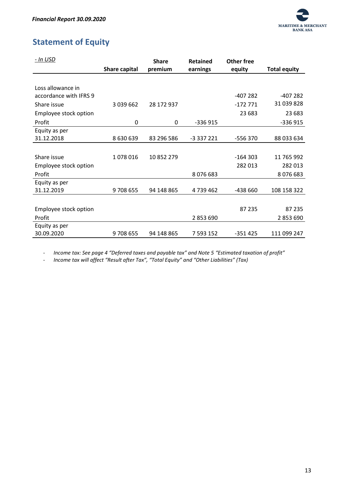

# <span id="page-13-0"></span>**Statement of Equity**

| - In USD               |                      | <b>Share</b> | <b>Retained</b> | Other free |                     |
|------------------------|----------------------|--------------|-----------------|------------|---------------------|
|                        | <b>Share capital</b> | premium      | earnings        | equity     | <b>Total equity</b> |
|                        |                      |              |                 |            |                     |
| Loss allowance in      |                      |              |                 |            |                     |
| accordance with IFRS 9 |                      |              |                 | -407 282   | $-407282$           |
| Share issue            | 3 039 662            | 28 172 937   |                 | $-172771$  | 31 039 828          |
| Employee stock option  |                      |              |                 | 23 683     | 23 683              |
| Profit                 | 0                    | 0            | $-336915$       |            | $-336915$           |
| Equity as per          |                      |              |                 |            |                     |
| 31.12.2018             | 8 630 639            | 83 296 586   | -3 337 221      | -556 370   | 88 033 634          |
|                        |                      |              |                 |            |                     |
| Share issue            | 1078016              | 10 852 279   |                 | $-164303$  | 11 765 992          |
| Employee stock option  |                      |              |                 | 282 013    | 282 013             |
| Profit                 |                      |              | 8076683         |            | 8076683             |
| Equity as per          |                      |              |                 |            |                     |
| 31.12.2019             | 9708655              | 94 148 865   | 4739462         | -438 660   | 108 158 322         |
|                        |                      |              |                 |            |                     |
| Employee stock option  |                      |              |                 | 87 235     | 87 235              |
| Profit                 |                      |              | 2 853 690       |            | 2 853 690           |
| Equity as per          |                      |              |                 |            |                     |
| 30.09.2020             | 9708655              | 94 148 865   | 7 593 152       | $-351425$  | 111 099 247         |

- *Income tax: See page 4 "Deferred taxes and payable tax" and Note 5 "Estimated taxation of profit"*

- *Income tax will affect "Result after Tax", "Total Equity" and "Other Liabilities" (Tax)*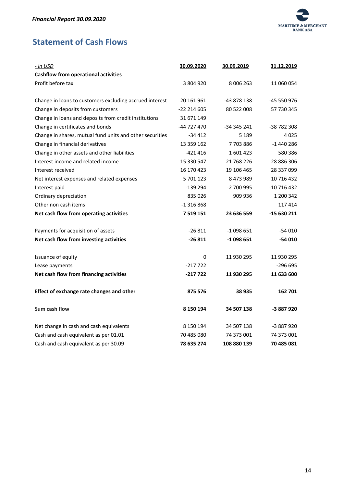

# <span id="page-14-0"></span>**Statement of Cash Flows**

| - In USD                                                 | 30.09.2020   | 30.09.2019  | 31.12.2019  |
|----------------------------------------------------------|--------------|-------------|-------------|
| <b>Cashflow from operational activities</b>              |              |             |             |
| Profit before tax                                        | 3 804 920    | 8 006 263   | 11 060 054  |
|                                                          |              |             |             |
| Change in loans to customers excluding accrued interest  | 20 161 961   | -43 878 138 | -45 550 976 |
| Change in deposits from customers                        | -22 214 605  | 80 522 008  | 57 730 345  |
| Change in loans and deposits from credit institutions    | 31 671 149   |             |             |
| Change in certificates and bonds                         | -44 727 470  | -34 345 241 | -38 782 308 |
| Change in shares, mutual fund units and other securities | $-34412$     | 5 1 8 9     | 4025        |
| Change in financial derivatives                          | 13 359 162   | 7703886     | $-1440286$  |
| Change in other assets and other liabilities             | -421416      | 1601423     | 580 386     |
| Interest income and related income                       | -15 330 547  | -21 768 226 | -28 886 306 |
| Interest received                                        | 16 170 423   | 19 106 465  | 28 337 099  |
| Net interest expenses and related expenses               | 5 701 123    | 8 473 989   | 10 716 432  |
| Interest paid                                            | $-139294$    | -2 700 995  | -10 716 432 |
| Ordinary depreciation                                    | 835 026      | 909 936     | 1 200 342   |
| Other non cash items                                     | $-1316868$   |             | 117414      |
| Net cash flow from operating activities                  | 7 5 19 1 5 1 | 23 636 559  | -15 630 211 |
| Payments for acquisition of assets                       | $-26811$     | -1 098 651  | $-54010$    |
| Net cash flow from investing activities                  | $-26811$     | $-1098651$  | $-54010$    |
| Issuance of equity                                       | $\Omega$     | 11 930 295  | 11 930 295  |
| Lease payments                                           | $-217722$    |             | $-296695$   |
| Net cash flow from financing activities                  | $-217722$    | 11 930 295  | 11 633 600  |
| Effect of exchange rate changes and other                | 875 576      | 38 935      | 162 701     |
| Sum cash flow                                            | 8 150 194    | 34 507 138  | -3 887 920  |
| Net change in cash and cash equivalents                  | 8 150 194    | 34 507 138  | -3 887 920  |
| Cash and cash equivalent as per 01.01                    | 70 485 080   | 74 373 001  | 74 373 001  |
| Cash and cash equivalent as per 30.09                    | 78 635 274   | 108 880 139 | 70 485 081  |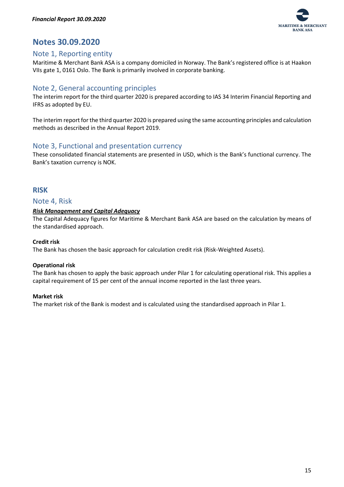

# <span id="page-15-0"></span>**Notes 30.09.2020**

## <span id="page-15-1"></span>Note 1, Reporting entity

Maritime & Merchant Bank ASA is a company domiciled in Norway. The Bank's registered office is at Haakon VIIs gate 1, 0161 Oslo. The Bank is primarily involved in corporate banking.

# <span id="page-15-2"></span>Note 2, General accounting principles

The interim report for the third quarter 2020 is prepared according to IAS 34 Interim Financial Reporting and IFRS as adopted by EU.

The interim report for the third quarter 2020 is prepared using the same accounting principles and calculation methods as described in the Annual Report 2019.

## <span id="page-15-3"></span>Note 3, Functional and presentation currency

These consolidated financial statements are presented in USD, which is the Bank's functional currency. The Bank's taxation currency is NOK.

## <span id="page-15-4"></span>**RISK**

#### <span id="page-15-5"></span>Note 4, Risk

#### <span id="page-15-6"></span>*Risk Management and Capital Adequacy*

The Capital Adequacy figures for Maritime & Merchant Bank ASA are based on the calculation by means of the standardised approach.

#### **Credit risk**

The Bank has chosen the basic approach for calculation credit risk (Risk-Weighted Assets).

#### **Operational risk**

The Bank has chosen to apply the basic approach under Pilar 1 for calculating operational risk. This applies a capital requirement of 15 per cent of the annual income reported in the last three years.

#### **Market risk**

The market risk of the Bank is modest and is calculated using the standardised approach in Pilar 1.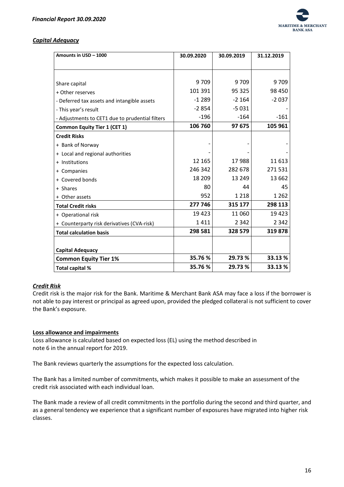

#### <span id="page-16-0"></span>*Capital Adequacy*

| Amounts in USD - 1000                           | 30.09.2020 | 30.09.2019 | 31.12.2019 |
|-------------------------------------------------|------------|------------|------------|
|                                                 |            |            |            |
|                                                 |            |            |            |
| Share capital                                   | 9709       | 9709       | 9709       |
| + Other reserves                                | 101 391    | 95 325     | 98 450     |
| - Deferred tax assets and intangible assets     | $-1289$    | $-2164$    | $-2037$    |
| - This year's result                            | $-2854$    | $-5031$    |            |
| - Adjustments to CET1 due to prudential filters | $-196$     | $-164$     | $-161$     |
| <b>Common Equity Tier 1 (CET 1)</b>             | 106 760    | 97 675     | 105 961    |
| <b>Credit Risks</b>                             |            |            |            |
| + Bank of Norway                                |            |            |            |
| + Local and regional authorities                |            |            |            |
| + Institutions                                  | 12 165     | 17988      | 11 613     |
| + Companies                                     | 246 342    | 282 678    | 271531     |
| + Covered bonds                                 | 18 209     | 13 249     | 13 662     |
| + Shares                                        | 80         | 44         | 45         |
| + Other assets                                  | 952        | 1 2 1 8    | 1 2 6 2    |
| <b>Total Credit risks</b>                       | 277 746    | 315 177    | 298 113    |
| + Operational risk                              | 19423      | 11 060     | 19 4 23    |
| + Counterparty risk derivatives (CVA-risk)      | 1411       | 2 3 4 2    | 2 3 4 2    |
| <b>Total calculation basis</b>                  | 298 581    | 328 579    | 319878     |
|                                                 |            |            |            |
| <b>Capital Adequacy</b>                         |            |            |            |
| <b>Common Equity Tier 1%</b>                    | 35.76 %    | 29.73 %    | 33.13 %    |
| Total capital %                                 | 35.76 %    | 29.73 %    | 33.13 %    |

#### <span id="page-16-1"></span>*Credit Risk*

Credit risk is the major risk for the Bank. Maritime & Merchant Bank ASA may face a loss if the borrower is not able to pay interest or principal as agreed upon, provided the pledged collateral is not sufficient to cover the Bank's exposure.

#### **Loss allowance and impairments**

Loss allowance is calculated based on expected loss (EL) using the method described in note 6 in the annual report for 2019.

The Bank reviews quarterly the assumptions for the expected loss calculation.

The Bank has a limited number of commitments, which makes it possible to make an assessment of the credit risk associated with each individual loan.

The Bank made a review of all credit commitments in the portfolio during the second and third quarter, and as a general tendency we experience that a significant number of exposures have migrated into higher risk classes.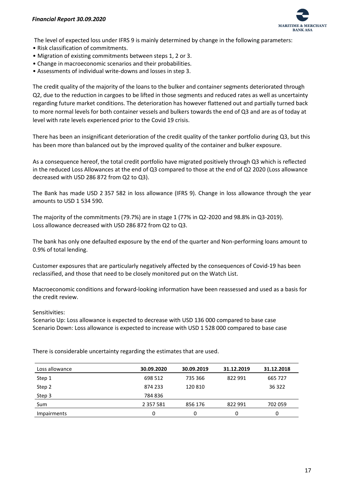

The level of expected loss under IFRS 9 is mainly determined by change in the following parameters:

- Risk classification of commitments.
- Migration of existing commitments between steps 1, 2 or 3.
- Change in macroeconomic scenarios and their probabilities.
- Assessments of individual write-downs and losses in step 3.

The credit quality of the majority of the loans to the bulker and container segments deteriorated through Q2, due to the reduction in cargoes to be lifted in those segments and reduced rates as well as uncertainty regarding future market conditions. The deterioration has however flattened out and partially turned back to more normal levels for both container vessels and bulkers towards the end of Q3 and are as of today at level with rate levels experienced prior to the Covid 19 crisis.

There has been an insignificant deterioration of the credit quality of the tanker portfolio during Q3, but this has been more than balanced out by the improved quality of the container and bulker exposure.

As a consequence hereof, the total credit portfolio have migrated positively through Q3 which is reflected in the reduced Loss Allowances at the end of Q3 compared to those at the end of Q2 2020 (Loss allowance decreased with USD 286 872 from Q2 to Q3).

The Bank has made USD 2 357 582 in loss allowance (IFRS 9). Change in loss allowance through the year amounts to USD 1 534 590.

The majority of the commitments (79.7%) are in stage 1 (77% in Q2-2020 and 98.8% in Q3-2019). Loss allowance decreased with USD 286 872 from Q2 to Q3.

The bank has only one defaulted exposure by the end of the quarter and Non-performing loans amount to 0.9% of total lending.

Customer exposures that are particularly negatively affected by the consequences of Covid-19 has been reclassified, and those that need to be closely monitored put on the Watch List.

Macroeconomic conditions and forward-looking information have been reassessed and used as a basis for the credit review.

#### Sensitivities:

Scenario Up: Loss allowance is expected to decrease with USD 136 000 compared to base case Scenario Down: Loss allowance is expected to increase with USD 1 528 000 compared to base case

There is considerable uncertainty regarding the estimates that are used.

| Loss allowance | 30.09.2020    | 30.09.2019 | 31.12.2019 | 31.12.2018 |
|----------------|---------------|------------|------------|------------|
| Step 1         | 698 512       | 735 366    | 822 991    | 665 727    |
| Step 2         | 874 233       | 120810     |            | 36 322     |
| Step 3         | 784836        |            |            |            |
| Sum            | 2 3 5 7 5 8 1 | 856 176    | 822 991    | 702 059    |
| Impairments    |               |            | 0          |            |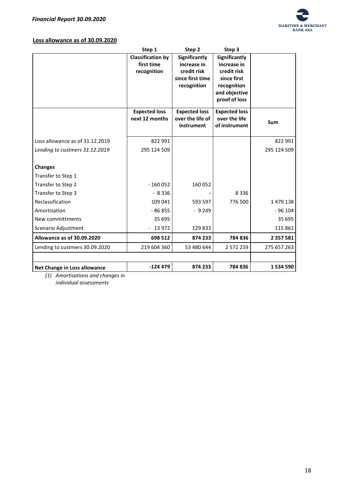

#### **Loss allowance as of 30.09.2020**

|                                   | Step 1                                 | Step 2                                   | Step 3                                |               |
|-----------------------------------|----------------------------------------|------------------------------------------|---------------------------------------|---------------|
|                                   | <b>Classification by</b>               | Significantly                            | <b>Significantly</b>                  |               |
|                                   | first time                             | increase in                              | increase in                           |               |
|                                   | recognition                            | credit risk                              | credit risk                           |               |
|                                   |                                        | since first time                         | since first                           |               |
|                                   |                                        | recognition                              | recognition                           |               |
|                                   |                                        |                                          | and objective<br>proof of loss        |               |
|                                   |                                        |                                          |                                       |               |
|                                   | <b>Expected loss</b><br>next 12 months | <b>Expected loss</b><br>over the life of | <b>Expected loss</b><br>over the life |               |
|                                   |                                        | instrument                               | of instrument                         | Sum           |
|                                   |                                        |                                          |                                       |               |
| Loss allowance as of 31.12.2019   | 822 991                                |                                          |                                       | 822 991       |
| Lending to custmers 31.12.2019    | 295 124 509                            |                                          |                                       | 295 124 509   |
|                                   |                                        |                                          |                                       |               |
| <b>Changes</b>                    |                                        |                                          |                                       |               |
| Transfer to Step 1                |                                        |                                          |                                       |               |
| Transfer to Step 2                | $-160052$                              | 160 052                                  |                                       |               |
| Transfer to Step 3                | $-8336$                                |                                          | 8 3 3 6                               |               |
| Reclassification                  | 109 041                                | 593 597                                  | 776 500                               | 1 479 138     |
| Amortisation                      | $-86855$                               | $-9249$                                  |                                       | $-96104$      |
| New committments                  | 35 695                                 |                                          |                                       | 35 695        |
| Scenario Adjustment               | $-13972$                               | 129833                                   |                                       | 115 861       |
| <b>Allowance as of 30.09.2020</b> | 698 512                                | 874 233                                  | 784836                                | 2 3 5 7 5 8 1 |
| Lending to custmers 30.09.2020    | 219 604 360                            | 53 480 644                               | 2 572 259                             | 275 657 263   |
|                                   |                                        |                                          |                                       |               |
| Net Change in Loss allowance      | $-124479$                              | 874 233                                  | 784 836                               | 1 534 590     |

*(1) Amortisations and changes in individual assessments*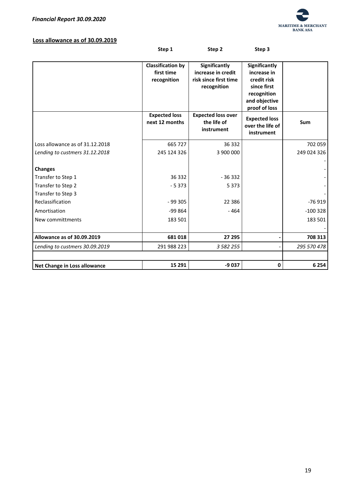

#### **Loss allowance as of 30.09.2019**

|                                      | Step 1                                                | Step 2                                                                      | Step 3                                                                                                             |             |
|--------------------------------------|-------------------------------------------------------|-----------------------------------------------------------------------------|--------------------------------------------------------------------------------------------------------------------|-------------|
|                                      | <b>Classification by</b><br>first time<br>recognition | Significantly<br>increase in credit<br>risk since first time<br>recognition | <b>Significantly</b><br>increase in<br>credit risk<br>since first<br>recognition<br>and objective<br>proof of loss |             |
|                                      | <b>Expected loss</b><br>next 12 months                | <b>Expected loss over</b><br>the life of<br>instrument                      | <b>Expected loss</b><br>over the life of<br>instrument                                                             | Sum         |
| Loss allowance as of 31.12.2018      | 665 727                                               | 36 332                                                                      |                                                                                                                    | 702 059     |
| Lending to custmers 31.12.2018       | 245 124 326                                           | 3 900 000                                                                   |                                                                                                                    | 249 024 326 |
| <b>Changes</b><br>Transfer to Step 1 | 36 332                                                | $-36332$                                                                    |                                                                                                                    |             |
| Transfer to Step 2                   | $-5373$                                               | 5 3 7 3                                                                     |                                                                                                                    |             |
| Transfer to Step 3                   |                                                       |                                                                             |                                                                                                                    |             |
| Reclassification                     | $-99305$                                              | 22 3 8 6                                                                    |                                                                                                                    | $-76919$    |
| Amortisation                         | -99 864                                               | $-464$                                                                      |                                                                                                                    | $-100328$   |
| New committments                     | 183 501                                               |                                                                             |                                                                                                                    | 183 501     |
|                                      |                                                       |                                                                             |                                                                                                                    |             |
| Allowance as of 30.09.2019           | 681018                                                | 27 295                                                                      |                                                                                                                    | 708 313     |
| Lending to custmers 30.09.2019       | 291 988 223                                           | 3 582 255                                                                   |                                                                                                                    | 295 570 478 |
|                                      |                                                       |                                                                             |                                                                                                                    |             |
| Net Change in Loss allowance         | 15 29 1                                               | -9 037                                                                      | $\mathbf 0$                                                                                                        | 6 2 5 4     |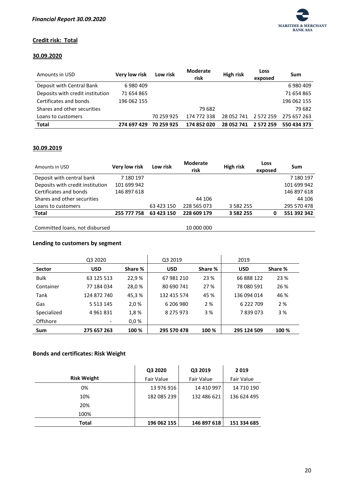

#### **Credit risk: Total**

#### **30.09.2020**

| Amounts in USD                   | <b>Very low risk</b> | Low risk   | <b>Moderate</b><br>risk | <b>High risk</b> | Loss<br>exposed | Sum         |
|----------------------------------|----------------------|------------|-------------------------|------------------|-----------------|-------------|
| Deposit with Central Bank        | 6980409              |            |                         |                  |                 | 6980409     |
| Deposits with credit institution | 71 654 865           |            |                         |                  |                 | 71 654 865  |
| Certificates and bonds           | 196 062 155          |            |                         |                  |                 | 196 062 155 |
| Shares and other securities      |                      |            | 79 682                  |                  |                 | 79 682      |
| Loans to customers               |                      | 70 259 925 | 174 772 338             | 28 052 741       | 2 572 259       | 275 657 263 |
| <b>Total</b>                     | 274 697 429          | 70 259 925 | 174 852 020             | 28 052 741       | 2 572 259       | 550 434 373 |

#### **30.09.2019**

| Amounts in USD                   | Very low risk | Low risk   | <b>Moderate</b><br>risk | High risk     | Loss<br>exposed | Sum         |
|----------------------------------|---------------|------------|-------------------------|---------------|-----------------|-------------|
| Deposit with central bank        | 7 180 197     |            |                         |               |                 | 7 180 197   |
| Deposits with credit institution | 101 699 942   |            |                         |               |                 | 101 699 942 |
| Certificates and bonds           | 146 897 618   |            |                         |               |                 | 146 897 618 |
| Shares and other securities      |               |            | 44 106                  |               |                 | 44 106      |
| Loans to customers               |               | 63 423 150 | 228 565 073             | 3 5 8 2 2 5 5 |                 | 295 570 478 |
| <b>Total</b>                     | 255 777 758   | 63 423 150 | 228 609 179             | 3 5 8 2 2 5 5 | 0               | 551 392 342 |
| Committed loans, not disbursed   |               |            | 10 000 000              |               |                 |             |

Committed loans, not disbursed

#### **Lending to customers by segment**

|               | Q3 2020       |         | Q3 2019     |         | 2019        |         |
|---------------|---------------|---------|-------------|---------|-------------|---------|
| <b>Sector</b> | <b>USD</b>    | Share % | <b>USD</b>  | Share % | <b>USD</b>  | Share % |
| <b>Bulk</b>   | 63 125 513    | 22,9%   | 67 981 210  | 23 %    | 66 888 122  | 23 %    |
| Container     | 77 184 034    | 28,0%   | 80 690 741  | 27 %    | 78 080 591  | 26 %    |
| Tank          | 124 872 740   | 45,3%   | 132 415 574 | 45 %    | 136 094 014 | 46 %    |
| Gas           | 5 5 1 3 1 4 5 | 2,0%    | 6 206 980   | 2 %     | 6 222 709   | 2 %     |
| Specialized   | 4961831       | 1,8%    | 8 275 973   | 3 %     | 7839073     | 3 %     |
| Offshore      |               | 0.0%    |             |         |             |         |
| Sum           | 275 657 263   | 100 %   | 295 570 478 | 100 %   | 295 124 509 | 100 %   |

## **Bonds and certificates: Risk Weight**

|                    | Q3 2020     | Q3 2019           | 2019        |
|--------------------|-------------|-------------------|-------------|
| <b>Risk Weight</b> | Fair Value  | <b>Fair Value</b> | Fair Value  |
| 0%                 | 13 976 916  | 14 410 997        | 14 710 190  |
| 10%                | 182 085 239 | 132 486 621       | 136 624 495 |
| 20%                |             |                   |             |
| 100%               |             |                   |             |
| Total              | 196 062 155 | 146 897 618       | 151 334 685 |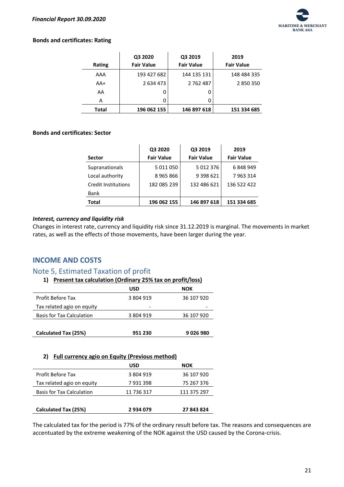

#### **Bonds and certificates: Rating**

| Rating | Q3 2020<br><b>Fair Value</b> | Q3 2019<br><b>Fair Value</b> | 2019<br><b>Fair Value</b> |
|--------|------------------------------|------------------------------|---------------------------|
|        |                              |                              |                           |
| AAA    | 193 427 682                  | 144 135 131                  | 148 484 335               |
| $AA+$  | 2 634 473                    | 2 762 487                    | 2850350                   |
| AA     | 0                            | Ω                            |                           |
| А      | 0                            | 0                            |                           |
| Total  | 196 062 155                  | 146 897 618                  | 151 334 685               |

#### **Bonds and certificates: Sector**

| Sector                     | Q3 2020<br><b>Fair Value</b> | Q3 2019<br><b>Fair Value</b> | 2019<br><b>Fair Value</b> |
|----------------------------|------------------------------|------------------------------|---------------------------|
| Supranationals             | 5 011 050                    | 5012376                      | 6848949                   |
| Local authority            | 8965866                      | 9 3 9 8 6 2 1                | 7963314                   |
| <b>Credit Institutions</b> | 182 085 239                  | 132 486 621                  | 136 522 422               |
| <b>Bank</b>                |                              |                              |                           |
| Total                      | 196 062 155                  | 146 897 618                  | 151 334 685               |

#### <span id="page-21-0"></span>*Interest, currency and liquidity risk*

Changes in interest rate, currency and liquidity risk since 31.12.2019 is marginal. The movements in market rates, as well as the effects of those movements, have been larger during the year.

## <span id="page-21-1"></span>**INCOME AND COSTS**

## <span id="page-21-2"></span>Note 5, Estimated Taxation of profit

|                                  | <b>USD</b> | <b>NOK</b> |
|----------------------------------|------------|------------|
| <b>Profit Before Tax</b>         | 3 804 919  | 36 107 920 |
| Tax related agio on equity       |            |            |
| <b>Basis for Tax Calculation</b> | 3 804 919  | 36 107 920 |
|                                  |            |            |
| Calculated Tax (25%)             | 951 230    | 9026980    |

#### **2) Full currency agio on Equity (Previous method)**

|                                  | <b>USD</b> | NOK         |
|----------------------------------|------------|-------------|
| <b>Profit Before Tax</b>         | 3 804 919  | 36 107 920  |
| Tax related agio on equity       | 7931398    | 75 267 376  |
| <b>Basis for Tax Calculation</b> | 11 736 317 | 111 375 297 |
|                                  |            |             |
| Calculated Tax (25%)             | 2934079    | 27 843 824  |

The calculated tax for the period is 77% of the ordinary result before tax. The reasons and consequences are accentuated by the extreme weakening of the NOK against the USD caused by the Corona-crisis.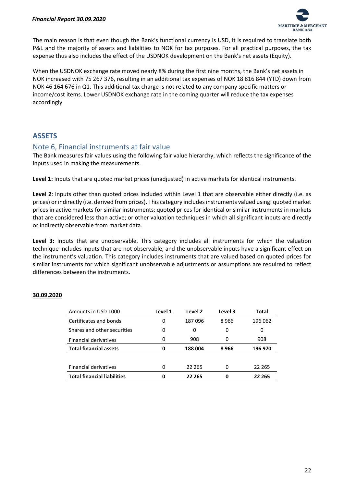

The main reason is that even though the Bank's functional currency is USD, it is required to translate both P&L and the majority of assets and liabilities to NOK for tax purposes. For all practical purposes, the tax expense thus also includes the effect of the USDNOK development on the Bank's net assets (Equity).

When the USDNOK exchange rate moved nearly 8% during the first nine months, the Bank's net assets in NOK increased with 75 267 376, resulting in an additional tax expenses of NOK 18 816 844 (YTD) down from NOK 46 164 676 in Q1. This additional tax charge is not related to any company specific matters or income/cost items. Lower USDNOK exchange rate in the coming quarter will reduce the tax expenses accordingly

# <span id="page-22-0"></span>**ASSETS**

## <span id="page-22-1"></span>Note 6, Financial instruments at fair value

The Bank measures fair values using the following fair value hierarchy, which reflects the significance of the inputs used in making the measurements.

**Level 1:** Inputs that are quoted market prices (unadjusted) in active markets for identical instruments.

**Level 2**: Inputs other than quoted prices included within Level 1 that are observable either directly (i.e. as prices) or indirectly (i.e. derived from prices). This category includes instruments valued using: quoted market prices in active markets for similar instruments; quoted prices for identical or similar instruments in markets that are considered less than active; or other valuation techniques in which all significant inputs are directly or indirectly observable from market data.

**Level 3:** Inputs that are unobservable. This category includes all instruments for which the valuation technique includes inputs that are not observable, and the unobservable inputs have a significant effect on the instrument's valuation. This category includes instruments that are valued based on quoted prices for similar instruments for which significant unobservable adjustments or assumptions are required to reflect differences between the instruments.

#### **30.09.2020**

| Amounts in USD 1000                | Level 1 | Level 2 | Level 3 | Total   |
|------------------------------------|---------|---------|---------|---------|
| Certificates and bonds             | 0       | 187096  | 8966    | 196 062 |
| Shares and other securities        | 0       | 0       | 0       | 0       |
| Financial derivatives              | 0       | 908     | 0       | 908     |
| <b>Total financial assets</b>      | 0       | 188 004 | 8966    | 196 970 |
|                                    |         |         |         |         |
| <b>Financial derivatives</b>       | 0       | 22 265  | 0       | 22 2 65 |
| <b>Total financial liabilities</b> | 0       | 22 265  | 0       | 22 265  |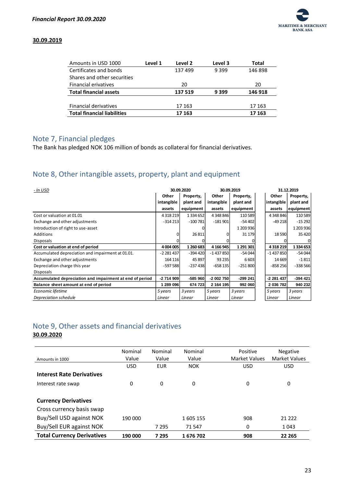

#### **30.09.2019**

| Amounts in USD 1000                | Level 1 | Level 2 | Level 3 | Total   |
|------------------------------------|---------|---------|---------|---------|
| Certificates and bonds             |         | 137499  | 9399    | 146898  |
| Shares and other securities        |         |         |         |         |
| <b>Financial erivatives</b>        |         | 20      |         | 20      |
| <b>Total financial assets</b>      |         | 137 519 | 9 3 9 9 | 146 918 |
|                                    |         |         |         |         |
| <b>Financial derivatives</b>       |         | 17 163  |         | 17 163  |
| <b>Total financial liabilities</b> |         | 17 163  |         | 17 163  |

# <span id="page-23-0"></span>Note 7, Financial pledges

The Bank has pledged NOK 106 million of bonds as collateral for financial derivatives.

# <span id="page-23-1"></span>Note 8, Other intangible assets, property, plant and equipment

| - In USD                                                 | 30.09.2020 |               | 30.09.2019 |           | 31.12.2019 |           |
|----------------------------------------------------------|------------|---------------|------------|-----------|------------|-----------|
|                                                          | Other      | Property,     | Other      | Property, | Other      | Property, |
|                                                          | intangible | plant and     | intangible | plant and | intangible | plant and |
|                                                          | assets     | equipment     | assets     | equipment | assets     | equipment |
| Cost or valuation at 01.01                               | 4318219    | 1 3 3 4 6 5 2 | 4 348 846  | 110589    | 4 348 846  | 110 589   |
| Exchange and other adjustments                           | $-314213$  | $-100781$     | $-181901$  | $-54402$  | $-49218$   | $-15292$  |
| Introduction of right to use-asset                       |            |               |            | 1 203 936 |            | 1 203 936 |
| Additions                                                |            | 26 811        |            | 31 179    | 18590      | 35 4 20   |
| <b>Disposals</b>                                         |            |               |            |           |            |           |
| Cost or valuation at end of period                       | 4 004 005  | 1 260 683     | 4 166 945  | 1 291 301 | 4318219    | 1334653   |
| Accumulated depreciation and impairment at 01.01.        | $-2281437$ | $-394420$     | $-1437850$ | $-54044$  | $-1437850$ | $-54044$  |
| Exchange and other adjustments                           | 164 116    | 45 897        | 93 2 35    | 6 6 0 3   | 14 6 69    | $-1811$   |
| Depreciation charge this year                            | $-597588$  | $-237438$     | $-658135$  | $-251800$ | $-858256$  | $-338566$ |
| <b>Disposals</b>                                         |            |               |            |           |            |           |
| Accumulated depreciation and impairment at end of period | $-2714909$ | $-585960$     | $-2002750$ | $-299241$ | -2 281 437 | $-394421$ |
| Balance sheet amount at end of period                    | 1 289 096  | 674 723       | 2 164 195  | 992 060   | 2 036 782  | 940 232   |
| Economic lifetime                                        | 5 years    | 3 years       | 5 years    | 3 years   | 5 years    | 3 years   |
| Depreciation schedule                                    | Linear     | Linear        | Linear     | Linear    | Linear     | Linear    |

# <span id="page-23-2"></span>Note 9, Other assets and financial derivatives

**30.09.2020**

| Amounts in 1000                   | Nominal<br>Value | Nominal<br>Value | Nominal<br>Value | Positive<br><b>Market Values</b> | <b>Negative</b><br><b>Market Values</b> |
|-----------------------------------|------------------|------------------|------------------|----------------------------------|-----------------------------------------|
|                                   | <b>USD</b>       | <b>EUR</b>       | <b>NOK</b>       | <b>USD</b>                       | <b>USD</b>                              |
| <b>Interest Rate Derivatives</b>  |                  |                  |                  |                                  |                                         |
| Interest rate swap                | 0                | 0                | 0                | 0                                | 0                                       |
|                                   |                  |                  |                  |                                  |                                         |
| <b>Currency Derivatives</b>       |                  |                  |                  |                                  |                                         |
| Cross currency basis swap         |                  |                  |                  |                                  |                                         |
| Buy/Sell USD against NOK          | 190 000          |                  | 1605 155         | 908                              | 21 222                                  |
| Buy/Sell EUR against NOK          |                  | 7 2 9 5          | 71 547           | 0                                | 1 0 4 3                                 |
| <b>Total Currency Derivatives</b> | 190 000          | 7 2 9 5          | 1676702          | 908                              | 22 265                                  |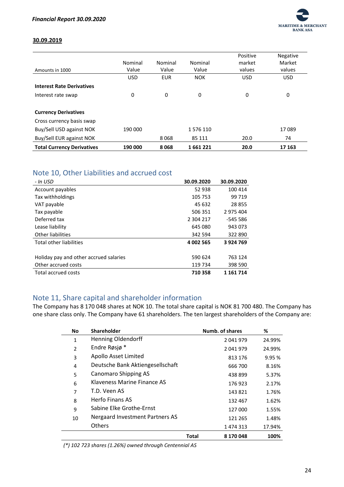

#### **30.09.2019**

|                                   |            |            |            | Positive   | Negative   |
|-----------------------------------|------------|------------|------------|------------|------------|
|                                   | Nominal    | Nominal    | Nominal    | market     | Market     |
| Amounts in 1000                   | Value      | Value      | Value      | values     | values     |
|                                   | <b>USD</b> | <b>EUR</b> | <b>NOK</b> | <b>USD</b> | <b>USD</b> |
| <b>Interest Rate Derivatives</b>  |            |            |            |            |            |
| Interest rate swap                | 0          | 0          | 0          | 0          | 0          |
|                                   |            |            |            |            |            |
| <b>Currency Derivatives</b>       |            |            |            |            |            |
| Cross currency basis swap         |            |            |            |            |            |
| Buy/Sell USD against NOK          | 190 000    |            | 1576110    |            | 17089      |
| Buy/Sell EUR against NOK          |            | 8068       | 85 111     | 20.0       | 74         |
| <b>Total Currency Derivatives</b> | 190 000    | 8068       | 1661221    | 20.0       | 17 163     |

# <span id="page-24-0"></span>Note 10, Other Liabilities and accrued cost

| 30.09.2020 | 30.09.2020 |
|------------|------------|
| 52 938     | 100 414    |
| 105 753    | 99 719     |
| 45 632     | 28 855     |
| 506 351    | 2 975 404  |
| 2 304 217  | -545 586   |
| 645 080    | 943 073    |
| 342 594    | 322 890    |
| 4 002 565  | 3924769    |
|            |            |
| 590 624    | 763 124    |
| 119 734    | 398 590    |
| 710358     | 1 161 714  |
|            |            |

# <span id="page-24-1"></span>Note 11, Share capital and shareholder information

The Company has 8 170 048 shares at NOK 10. The total share capital is NOK 81 700 480. The Company has one share class only. The Company have 61 shareholders. The ten largest shareholders of the Company are:

| <b>No</b>      | <b>Shareholder</b>               |       | Numb. of shares | %      |
|----------------|----------------------------------|-------|-----------------|--------|
| $\mathbf{1}$   | <b>Henning Oldendorff</b>        |       | 2041979         | 24.99% |
| $\overline{2}$ | Endre Røsjø*                     |       | 2041979         | 24.99% |
| 3              | Apollo Asset Limited             |       | 813 176         | 9.95%  |
| 4              | Deutsche Bank Aktiengesellschaft |       | 666 700         | 8.16%  |
| 5              | Canomaro Shipping AS             |       | 438 899         | 5.37%  |
| 6              | Klaveness Marine Finance AS      |       | 176923          | 2.17%  |
| 7              | T.D. Veen AS                     |       | 143 821         | 1.76%  |
| 8              | <b>Herfo Finans AS</b>           |       | 132 467         | 1.62%  |
| 9              | Sabine Elke Grothe-Ernst         |       | 127 000         | 1.55%  |
| 10             | Nergaard Investment Partners AS  |       | 121 265         | 1.48%  |
|                | <b>Others</b>                    |       | 1 474 313       | 17.94% |
|                |                                  | Total | 8 170 048       | 100%   |

*(\*) 102 723 shares (1.26%) owned through Centennial AS*